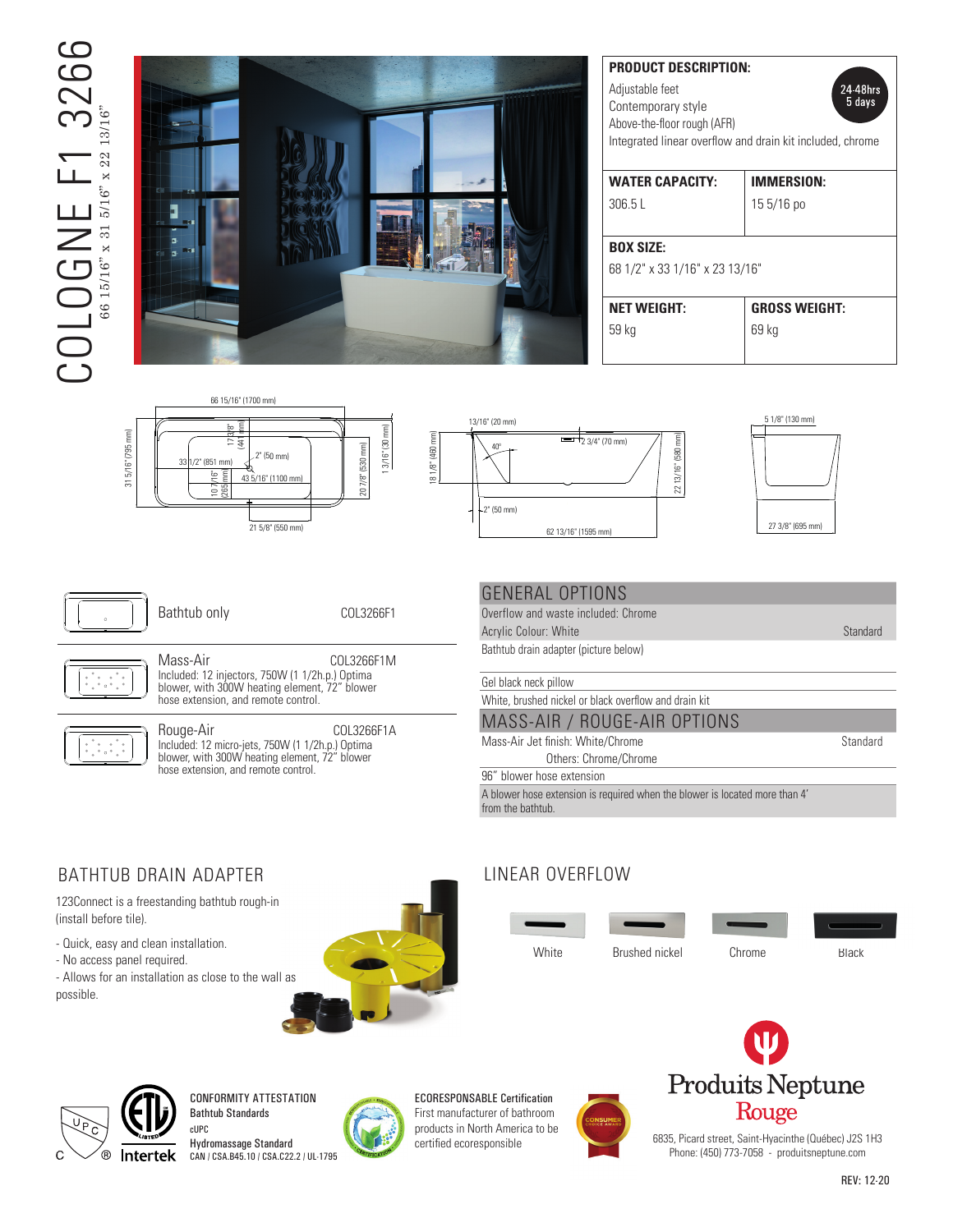# $\overline{C}$ COLOGNE F1 3266 13266  $\text{COLOGNE} \begin{tabular}{ll} \multicolumn{2}{c}{\text{C}} & \multicolumn{2}{c}{\text{C}} & \multicolumn{2}{c}{\text{C}} \\ \multicolumn{2}{c}{\text{C}} & \multicolumn{2}{c}{\text{C}} & \multicolumn{2}{c}{\text{S}} \\ \multicolumn{2}{c}{\text{S}} & \multicolumn{2}{c}{\text{S}} & \multicolumn{2}{c}{\text{S}} & \multicolumn{2}{c}{\text{S}} \\ \multicolumn{2}{c}{\text{S}} & \multicolumn{2}{c}{\text{S}} & \multicolumn{2}{c}{\text{S}} & \multicolumn{2}{c}{\$ 66 15/16" x 31 5/16" x 22 13/16"



| <b>PRODUCT DESCRIPTION:</b><br>Adjustable feet<br>24-48hrs<br>5 days<br>Contemporary style<br>Above-the-floor rough (AFR)<br>Integrated linear overflow and drain kit included, chrome |                      |
|----------------------------------------------------------------------------------------------------------------------------------------------------------------------------------------|----------------------|
| <b>WATER CAPACITY:</b>                                                                                                                                                                 | <b>IMMERSION:</b>    |
| 306.5L                                                                                                                                                                                 | $155/16$ po          |
| <b>BOX SIZE:</b>                                                                                                                                                                       |                      |
| 68 1/2" x 33 1/16" x 23 13/16"                                                                                                                                                         |                      |
| <b>NET WEIGHT:</b>                                                                                                                                                                     | <b>GROSS WEIGHT:</b> |
| 59 kg                                                                                                                                                                                  | 69 kg                |
|                                                                                                                                                                                        |                      |







31 5/16" (795 mm)

31 5/16" (795 mm)

Bathtub only COL3266F1

2" (50 mm)

Mass-Air COL3266F1M Included: 12 injectors, 750W (1 1/2h.p.) Optima Included: 12 injectors, 750W (1 1/2h.p.) Optima<br>blower, with 300W heating element, 72" blower hose extension, and remote control.



Rouge-Air COL3266F1A Included: 12 micro-jets, 750W (1 1/2h.p.) Optima blower, with 300W heating element, 72" blower hose extension, and remote control.

#### **GENERAL OPTIONS** Above-the-floor rough (AFR)  $\sim$   $\sim$   $\sim$   $\sim$

Overflow and waste included: Chrome Acrylic Colour: White Standard 20-2020 Productsneptune.com/rouge 02-2020 Productsneptune.com/rouge 02-2020

Bathtub drain adapter (picture below)

Gel black neck pillow

White, brushed nickel or black overflow and drain kit

#### MASS-AIR / ROUGE-AIR OPTIONS

Mass-Air Jet finish: White/Chrome Standard Others: Chrome/Chrome

96" blower hose extension

A blower hose extension is required when the blower is located more than 4' from the bathtub.

## BATHTUB DRAIN ADAPTER

123Connect is a freestanding bathtub rough-in (install before tile).

- Quick, easy and clean installation.
- No access panel required.

- Allows for an installation as close to the wall as possible.



## LINEAR OVERFLOW







CONFORMITY ATTESTATION Bathtub Standards cUPC

Hydromassage Standard CAN / CSA.B45.10 / CSA.C22.2 / UL-1795



ECORESPONSABLE Certification First manufacturer of bathroom products in North America to be





6835, Picard street, Saint-Hyacinthe (Québec) J2S 1H3 Phone: (450) 773-7058 - produitsneptune.com